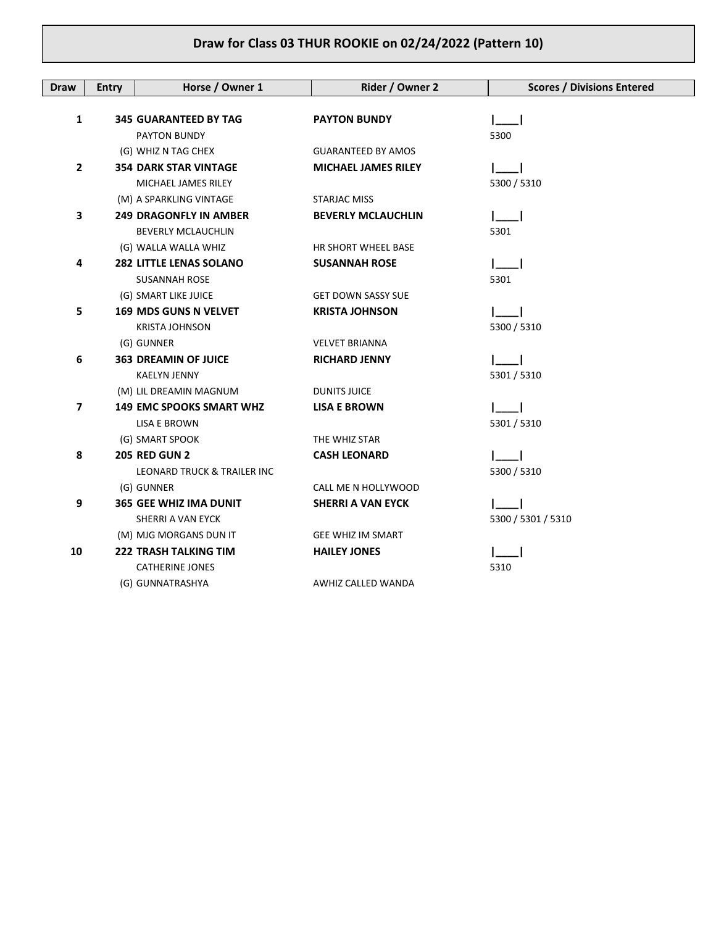| <b>Draw</b>  | <b>Entry</b> | Horse / Owner 1                 | Rider / Owner 2            | <b>Scores / Divisions Entered</b> |
|--------------|--------------|---------------------------------|----------------------------|-----------------------------------|
|              |              |                                 |                            |                                   |
| 1            |              | <b>345 GUARANTEED BY TAG</b>    | <b>PAYTON BUNDY</b>        |                                   |
|              |              | PAYTON BUNDY                    |                            | 5300                              |
|              |              | (G) WHIZ N TAG CHEX             | <b>GUARANTEED BY AMOS</b>  |                                   |
| $\mathbf{2}$ |              | <b>354 DARK STAR VINTAGE</b>    | <b>MICHAEL JAMES RILEY</b> |                                   |
|              |              | MICHAEL JAMES RILEY             |                            | 5300 / 5310                       |
|              |              | (M) A SPARKLING VINTAGE         | STARJAC MISS               |                                   |
| 3            |              | <b>249 DRAGONFLY IN AMBER</b>   | <b>BEVERLY MCLAUCHLIN</b>  |                                   |
|              |              | <b>BEVERLY MCLAUCHLIN</b>       |                            | 5301                              |
|              |              | (G) WALLA WALLA WHIZ            | HR SHORT WHEEL BASE        |                                   |
| 4            |              | <b>282 LITTLE LENAS SOLANO</b>  | <b>SUSANNAH ROSE</b>       |                                   |
|              |              | <b>SUSANNAH ROSE</b>            |                            | 5301                              |
|              |              | (G) SMART LIKE JUICE            | <b>GET DOWN SASSY SUE</b>  |                                   |
| 5            |              | 169 MDS GUNS N VELVET           | <b>KRISTA JOHNSON</b>      |                                   |
|              |              | <b>KRISTA JOHNSON</b>           |                            | 5300 / 5310                       |
|              |              | (G) GUNNER                      | <b>VELVET BRIANNA</b>      |                                   |
| 6            |              | <b>363 DREAMIN OF JUICE</b>     | <b>RICHARD JENNY</b>       |                                   |
|              |              | <b>KAELYN JENNY</b>             |                            | 5301 / 5310                       |
|              |              | (M) LIL DREAMIN MAGNUM          | <b>DUNITS JUICE</b>        |                                   |
| 7            |              | <b>149 EMC SPOOKS SMART WHZ</b> | <b>LISA E BROWN</b>        |                                   |
|              |              | LISA E BROWN                    |                            | 5301 / 5310                       |
|              |              | (G) SMART SPOOK                 | THE WHIZ STAR              |                                   |
| 8            |              | <b>205 RED GUN 2</b>            | <b>CASH LEONARD</b>        |                                   |
|              |              | LEONARD TRUCK & TRAILER INC     |                            | 5300 / 5310                       |
|              |              | (G) GUNNER                      | CALL ME N HOLLYWOOD        |                                   |
| 9            |              | <b>365 GEE WHIZ IMA DUNIT</b>   | <b>SHERRI A VAN EYCK</b>   |                                   |
|              |              | SHERRI A VAN EYCK               |                            | 5300 / 5301 / 5310                |
|              |              | (M) MJG MORGANS DUN IT          | <b>GEE WHIZ IM SMART</b>   |                                   |
| 10           |              | <b>222 TRASH TALKING TIM</b>    | <b>HAILEY JONES</b>        |                                   |
|              |              | <b>CATHERINE JONES</b>          |                            | 5310                              |
|              |              | (G) GUNNATRASHYA                | AWHIZ CALLED WANDA         |                                   |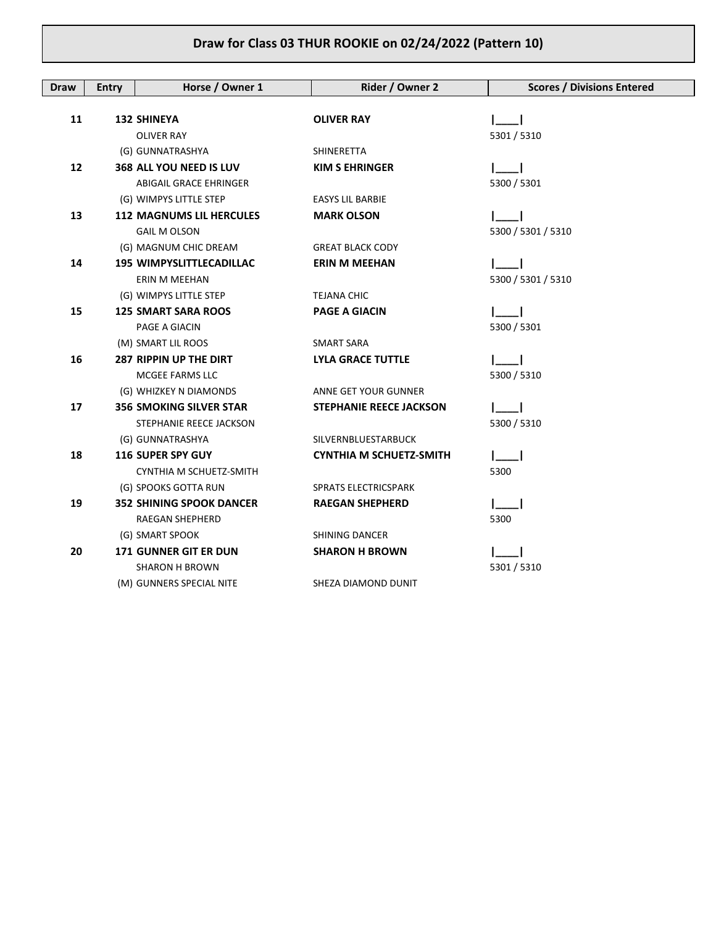| <b>Draw</b> | <b>Entry</b> | Horse / Owner 1                 | Rider / Owner 2                | <b>Scores / Divisions Entered</b> |
|-------------|--------------|---------------------------------|--------------------------------|-----------------------------------|
|             |              |                                 |                                |                                   |
| 11          |              | <b>132 SHINEYA</b>              | <b>OLIVER RAY</b>              |                                   |
|             |              | <b>OLIVER RAY</b>               |                                | 5301 / 5310                       |
|             |              | (G) GUNNATRASHYA                | SHINERETTA                     |                                   |
| 12          |              | 368 ALL YOU NEED IS LUV         | <b>KIM S EHRINGER</b>          |                                   |
|             |              | <b>ABIGAIL GRACE EHRINGER</b>   |                                | 5300 / 5301                       |
|             |              | (G) WIMPYS LITTLE STEP          | <b>EASYS LIL BARBIE</b>        |                                   |
| 13          |              | <b>112 MAGNUMS LIL HERCULES</b> | <b>MARK OLSON</b>              |                                   |
|             |              | <b>GAIL M OLSON</b>             |                                | 5300 / 5301 / 5310                |
|             |              | (G) MAGNUM CHIC DREAM           | <b>GREAT BLACK CODY</b>        |                                   |
| 14          |              | <b>195 WIMPYSLITTLECADILLAC</b> | <b>ERIN M MEEHAN</b>           |                                   |
|             |              | ERIN M MEEHAN                   |                                | 5300 / 5301 / 5310                |
|             |              | (G) WIMPYS LITTLE STEP          | TEJANA CHIC                    |                                   |
| 15          |              | <b>125 SMART SARA ROOS</b>      | <b>PAGE A GIACIN</b>           |                                   |
|             |              | PAGE A GIACIN                   |                                | 5300 / 5301                       |
|             |              | (M) SMART LIL ROOS              | <b>SMART SARA</b>              |                                   |
| 16          |              | 287 RIPPIN UP THE DIRT          | <b>LYLA GRACE TUTTLE</b>       |                                   |
|             |              | MCGEE FARMS LLC                 |                                | 5300 / 5310                       |
|             |              | (G) WHIZKEY N DIAMONDS          | ANNE GET YOUR GUNNER           |                                   |
| 17          |              | <b>356 SMOKING SILVER STAR</b>  | <b>STEPHANIE REECE JACKSON</b> |                                   |
|             |              | STEPHANIE REECE JACKSON         |                                | 5300 / 5310                       |
|             |              | (G) GUNNATRASHYA                | SILVERNBLUESTARBUCK            |                                   |
| 18          |              | <b>116 SUPER SPY GUY</b>        | <b>CYNTHIA M SCHUETZ-SMITH</b> |                                   |
|             |              | CYNTHIA M SCHUETZ-SMITH         |                                | 5300                              |
|             |              | (G) SPOOKS GOTTA RUN            | <b>SPRATS ELECTRICSPARK</b>    |                                   |
| 19          |              | <b>352 SHINING SPOOK DANCER</b> | <b>RAEGAN SHEPHERD</b>         |                                   |
|             |              | RAEGAN SHEPHERD                 |                                | 5300                              |
|             |              | (G) SMART SPOOK                 | <b>SHINING DANCER</b>          |                                   |
| 20          |              | <b>171 GUNNER GIT ER DUN</b>    | <b>SHARON H BROWN</b>          |                                   |
|             |              | <b>SHARON H BROWN</b>           |                                | 5301 / 5310                       |
|             |              | (M) GUNNERS SPECIAL NITE        | SHEZA DIAMOND DUNIT            |                                   |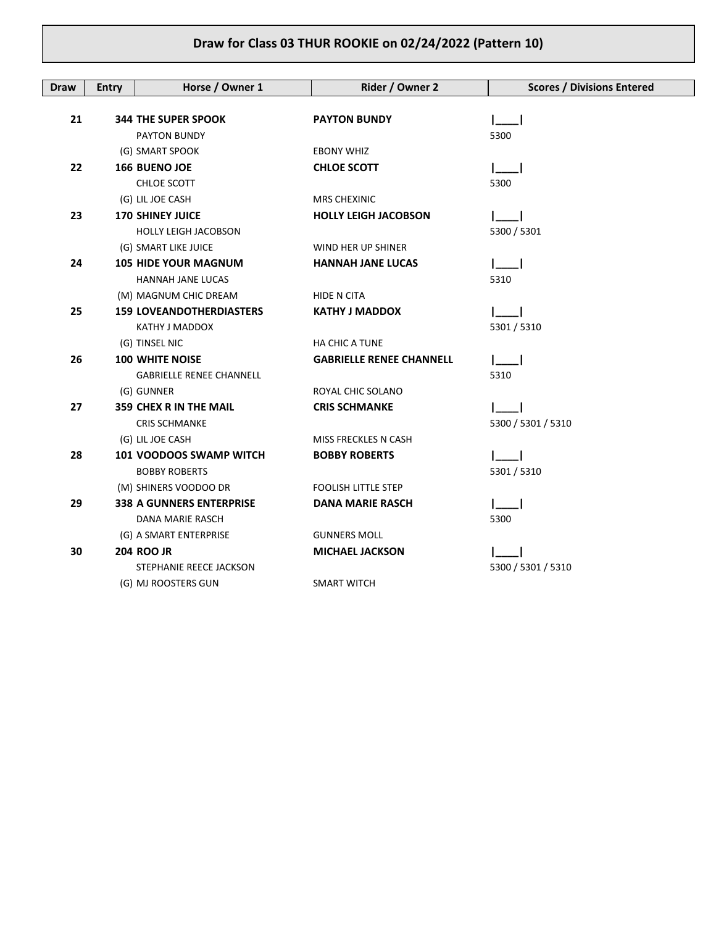| <b>Draw</b> | <b>Entry</b> | Horse / Owner 1                 | Rider / Owner 2                 | <b>Scores / Divisions Entered</b> |
|-------------|--------------|---------------------------------|---------------------------------|-----------------------------------|
|             |              |                                 |                                 |                                   |
| 21          |              | <b>344 THE SUPER SPOOK</b>      | <b>PAYTON BUNDY</b>             |                                   |
|             |              | PAYTON BUNDY                    |                                 | 5300                              |
|             |              | (G) SMART SPOOK                 | <b>EBONY WHIZ</b>               |                                   |
| 22          |              | <b>166 BUENO JOE</b>            | <b>CHLOE SCOTT</b>              |                                   |
|             |              | CHLOE SCOTT                     |                                 | 5300                              |
|             |              | (G) LIL JOE CASH                | <b>MRS CHEXINIC</b>             |                                   |
| 23          |              | <b>170 SHINEY JUICE</b>         | <b>HOLLY LEIGH JACOBSON</b>     |                                   |
|             |              | <b>HOLLY LEIGH JACOBSON</b>     |                                 | 5300 / 5301                       |
|             |              | (G) SMART LIKE JUICE            | WIND HER UP SHINER              |                                   |
| 24          |              | <b>105 HIDE YOUR MAGNUM</b>     | <b>HANNAH JANE LUCAS</b>        |                                   |
|             |              | <b>HANNAH JANE LUCAS</b>        |                                 | 5310                              |
|             |              | (M) MAGNUM CHIC DREAM           | HIDE N CITA                     |                                   |
| 25          |              | <b>159 LOVEANDOTHERDIASTERS</b> | <b>KATHY J MADDOX</b>           |                                   |
|             |              | KATHY J MADDOX                  |                                 | 5301 / 5310                       |
|             |              | (G) TINSEL NIC                  | <b>HA CHIC A TUNE</b>           |                                   |
| 26          |              | <b>100 WHITE NOISE</b>          | <b>GABRIELLE RENEE CHANNELL</b> |                                   |
|             |              | <b>GABRIELLE RENEE CHANNELL</b> |                                 | 5310                              |
|             |              | (G) GUNNER                      | ROYAL CHIC SOLANO               |                                   |
| 27          |              | <b>359 CHEX R IN THE MAIL</b>   | <b>CRIS SCHMANKE</b>            |                                   |
|             |              | <b>CRIS SCHMANKE</b>            |                                 | 5300 / 5301 / 5310                |
|             |              | (G) LIL JOE CASH                | MISS FRECKLES N CASH            |                                   |
| 28          |              | 101 VOODOOS SWAMP WITCH         | <b>BOBBY ROBERTS</b>            |                                   |
|             |              | <b>BOBBY ROBERTS</b>            |                                 | 5301 / 5310                       |
|             |              | (M) SHINERS VOODOO DR           | <b>FOOLISH LITTLE STEP</b>      |                                   |
| 29          |              | <b>338 A GUNNERS ENTERPRISE</b> | <b>DANA MARIE RASCH</b>         |                                   |
|             |              | DANA MARIE RASCH                |                                 | 5300                              |
|             |              | (G) A SMART ENTERPRISE          | <b>GUNNERS MOLL</b>             |                                   |
| 30          |              | <b>204 ROO JR</b>               | <b>MICHAEL JACKSON</b>          |                                   |
|             |              | STEPHANIE REECE JACKSON         |                                 | 5300 / 5301 / 5310                |
|             |              | (G) MJ ROOSTERS GUN             | <b>SMART WITCH</b>              |                                   |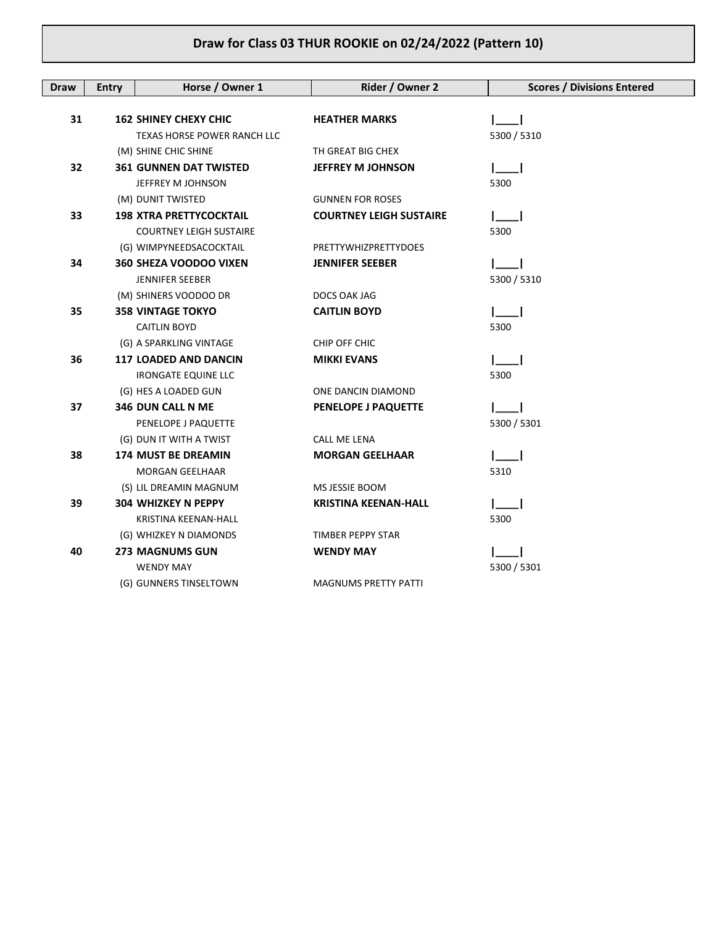| <b>Draw</b> | <b>Entry</b> | Horse / Owner 1                    | Rider / Owner 2                | <b>Scores / Divisions Entered</b> |
|-------------|--------------|------------------------------------|--------------------------------|-----------------------------------|
|             |              |                                    |                                |                                   |
| 31          |              | <b>162 SHINEY CHEXY CHIC</b>       | <b>HEATHER MARKS</b>           |                                   |
|             |              | <b>TEXAS HORSE POWER RANCH LLC</b> |                                | 5300 / 5310                       |
|             |              | (M) SHINE CHIC SHINE               | TH GREAT BIG CHEX              |                                   |
| 32          |              | <b>361 GUNNEN DAT TWISTED</b>      | <b>JEFFREY M JOHNSON</b>       |                                   |
|             |              | JEFFREY M JOHNSON                  |                                | 5300                              |
|             |              | (M) DUNIT TWISTED                  | <b>GUNNEN FOR ROSES</b>        |                                   |
| 33          |              | <b>198 XTRA PRETTYCOCKTAIL</b>     | <b>COURTNEY LEIGH SUSTAIRE</b> |                                   |
|             |              | <b>COURTNEY LEIGH SUSTAIRE</b>     |                                | 5300                              |
|             |              | (G) WIMPYNEEDSACOCKTAIL            | PRETTYWHIZPRETTYDOES           |                                   |
| 34          |              | 360 SHEZA VOODOO VIXEN             | <b>JENNIFER SEEBER</b>         |                                   |
|             |              | <b>JENNIFER SEEBER</b>             |                                | 5300 / 5310                       |
|             |              | (M) SHINERS VOODOO DR              | DOCS OAK JAG                   |                                   |
| 35          |              | <b>358 VINTAGE TOKYO</b>           | <b>CAITLIN BOYD</b>            |                                   |
|             |              | <b>CAITLIN BOYD</b>                |                                | 5300                              |
|             |              | (G) A SPARKLING VINTAGE            | CHIP OFF CHIC                  |                                   |
| 36          |              | <b>117 LOADED AND DANCIN</b>       | <b>MIKKI EVANS</b>             |                                   |
|             |              | <b>IRONGATE EQUINE LLC</b>         |                                | 5300                              |
|             |              | (G) HES A LOADED GUN               | ONE DANCIN DIAMOND             |                                   |
| 37          |              | <b>346 DUN CALL N ME</b>           | PENELOPE J PAQUETTE            |                                   |
|             |              | PENELOPE J PAQUETTE                |                                | 5300 / 5301                       |
|             |              | (G) DUN IT WITH A TWIST            | <b>CALL ME LENA</b>            |                                   |
| 38          |              | 174 MUST BE DREAMIN                | <b>MORGAN GEELHAAR</b>         |                                   |
|             |              | MORGAN GEELHAAR                    |                                | 5310                              |
|             |              | (S) LIL DREAMIN MAGNUM             | MS JESSIE BOOM                 |                                   |
| 39          |              | <b>304 WHIZKEY N PEPPY</b>         | <b>KRISTINA KEENAN-HALL</b>    |                                   |
|             |              | KRISTINA KEENAN-HALL               |                                | 5300                              |
|             |              | (G) WHIZKEY N DIAMONDS             | TIMBER PEPPY STAR              |                                   |
| 40          |              | <b>273 MAGNUMS GUN</b>             | <b>WENDY MAY</b>               |                                   |
|             |              | <b>WENDY MAY</b>                   |                                | 5300 / 5301                       |
|             |              | (G) GUNNERS TINSELTOWN             | <b>MAGNUMS PRETTY PATTI</b>    |                                   |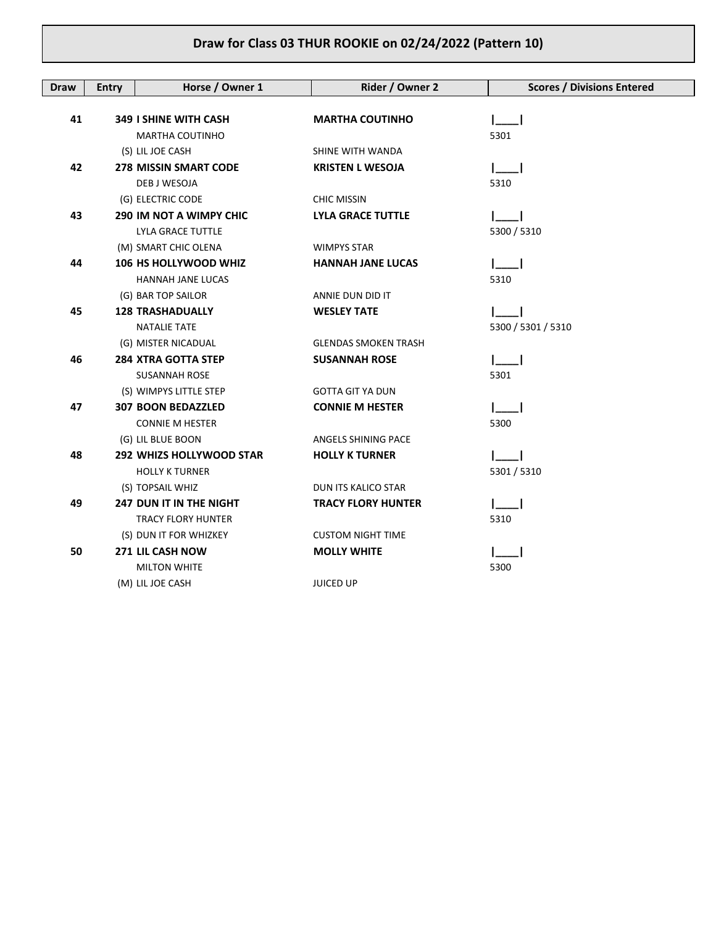| <b>Draw</b> | <b>Entry</b> | Horse / Owner 1                 | Rider / Owner 2             | <b>Scores / Divisions Entered</b> |
|-------------|--------------|---------------------------------|-----------------------------|-----------------------------------|
|             |              |                                 |                             |                                   |
| 41          |              | <b>349 I SHINE WITH CASH</b>    | <b>MARTHA COUTINHO</b>      |                                   |
|             |              | MARTHA COUTINHO                 |                             | 5301                              |
|             |              | (S) LIL JOE CASH                | SHINE WITH WANDA            |                                   |
| 42          |              | <b>278 MISSIN SMART CODE</b>    | <b>KRISTEN L WESOJA</b>     |                                   |
|             |              | DEB J WESOJA                    |                             | 5310                              |
|             |              | (G) ELECTRIC CODE               | <b>CHIC MISSIN</b>          |                                   |
| 43          |              | <b>290 IM NOT A WIMPY CHIC</b>  | <b>LYLA GRACE TUTTLE</b>    |                                   |
|             |              | LYLA GRACE TUTTLE               |                             | 5300 / 5310                       |
|             |              | (M) SMART CHIC OLENA            | <b>WIMPYS STAR</b>          |                                   |
| 44          |              | <b>106 HS HOLLYWOOD WHIZ</b>    | <b>HANNAH JANE LUCAS</b>    |                                   |
|             |              | HANNAH JANE LUCAS               |                             | 5310                              |
|             |              | (G) BAR TOP SAILOR              | ANNIE DUN DID IT            |                                   |
| 45          |              | <b>128 TRASHADUALLY</b>         | <b>WESLEY TATE</b>          |                                   |
|             |              | <b>NATALIE TATE</b>             |                             | 5300 / 5301 / 5310                |
|             |              | (G) MISTER NICADUAL             | <b>GLENDAS SMOKEN TRASH</b> |                                   |
| 46          |              | <b>284 XTRA GOTTA STEP</b>      | <b>SUSANNAH ROSE</b>        |                                   |
|             |              | <b>SUSANNAH ROSE</b>            |                             | 5301                              |
|             |              | (S) WIMPYS LITTLE STEP          | <b>GOTTA GIT YA DUN</b>     |                                   |
| 47          |              | <b>307 BOON BEDAZZLED</b>       | <b>CONNIE M HESTER</b>      |                                   |
|             |              | <b>CONNIE M HESTER</b>          |                             | 5300                              |
|             |              | (G) LIL BLUE BOON               | ANGELS SHINING PACE         |                                   |
| 48          |              | <b>292 WHIZS HOLLYWOOD STAR</b> | <b>HOLLY K TURNER</b>       |                                   |
|             |              | <b>HOLLY K TURNER</b>           |                             | 5301 / 5310                       |
|             |              | (S) TOPSAIL WHIZ                | DUN ITS KALICO STAR         |                                   |
| 49          |              | <b>247 DUN IT IN THE NIGHT</b>  | <b>TRACY FLORY HUNTER</b>   |                                   |
|             |              | <b>TRACY FLORY HUNTER</b>       |                             | 5310                              |
|             |              | (S) DUN IT FOR WHIZKEY          | <b>CUSTOM NIGHT TIME</b>    |                                   |
| 50          |              | 271 LIL CASH NOW                | <b>MOLLY WHITE</b>          |                                   |
|             |              | <b>MILTON WHITE</b>             |                             | 5300                              |
|             |              | (M) LIL JOE CASH                | <b>JUICED UP</b>            |                                   |